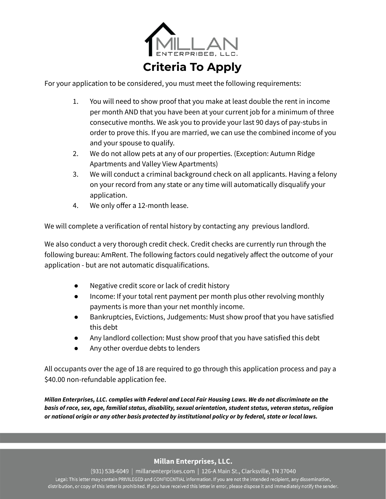

For your application to be considered, you must meet the following requirements:

- 1. You will need to show proof that you make at least double the rent in income per month AND that you have been at your current job for a minimum of three consecutive months. We ask you to provide your last 90 days of pay-stubs in order to prove this. If you are married, we can use the combined income of you and your spouse to qualify.
- 2. We do not allow pets at any of our properties. (Exception: Autumn Ridge Apartments and Valley View Apartments)
- 3. We will conduct a criminal background check on all applicants. Having a felony on your record from any state or any time will automatically disqualify your application.
- 4. We only offer a 12-month lease.

We will complete a verification of rental history by contacting any previous landlord.

We also conduct a very thorough credit check. Credit checks are currently run through the following bureau: AmRent. The following factors could negatively affect the outcome of your application - but are not automatic disqualifications.

- Negative credit score or lack of credit history
- Income: If your total rent payment per month plus other revolving monthly payments is more than your net monthly income.
- Bankruptcies, Evictions, Judgements: Must show proof that you have satisfied this debt
- Any landlord collection: Must show proof that you have satisfied this debt
- Any other overdue debts to lenders

All occupants over the age of 18 are required to go through this application process and pay a \$40.00 non-refundable application fee.

*Millan Enterprises, LLC. complies with Federal and Local Fair Housing Laws. We do not discriminate on the basis of race, sex, age, familial status, disability, sexual orientation, student status, veteran status, religion or national origin or any other basis protected by institutional policy or by federal, state or local laws.*

## **Millan Enterprises, LLC.**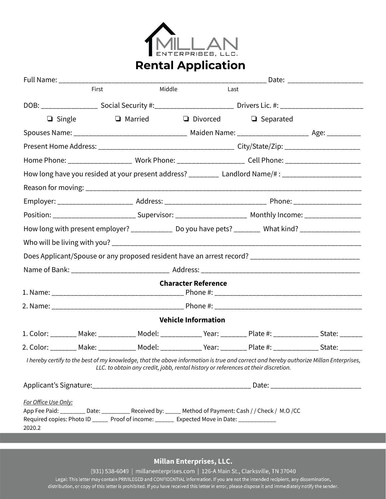

## **Rental Application**

|                                | Full Name: _______________________________ |                |                                                                                                                                                                                                   |                                                                                                                                       |  |  |  |
|--------------------------------|--------------------------------------------|----------------|---------------------------------------------------------------------------------------------------------------------------------------------------------------------------------------------------|---------------------------------------------------------------------------------------------------------------------------------------|--|--|--|
|                                | First                                      |                | Middle<br>Last                                                                                                                                                                                    |                                                                                                                                       |  |  |  |
|                                |                                            |                |                                                                                                                                                                                                   | DOB: ______________________ Social Security #:________________________________Drivers Lic. #: ______________________                  |  |  |  |
| $\Box$ Single                  |                                            | $\Box$ Married |                                                                                                                                                                                                   | $\Box$ Divorced $\Box$ Separated                                                                                                      |  |  |  |
|                                |                                            |                |                                                                                                                                                                                                   | Spouses Name: __________________________________ Maiden Name: ________________________ Age: ____________                              |  |  |  |
|                                |                                            |                |                                                                                                                                                                                                   |                                                                                                                                       |  |  |  |
|                                |                                            |                |                                                                                                                                                                                                   | Home Phone: _______________________ Work Phone: __________________________ Cell Phone: _______________________                        |  |  |  |
|                                |                                            |                |                                                                                                                                                                                                   | How long have you resided at your present address? _________ Landlord Name/#: _____________________                                   |  |  |  |
|                                |                                            |                |                                                                                                                                                                                                   |                                                                                                                                       |  |  |  |
|                                |                                            |                |                                                                                                                                                                                                   |                                                                                                                                       |  |  |  |
|                                |                                            |                |                                                                                                                                                                                                   | Position: _______________________________Supervisor: ___________________________ Monthly Income: __________________                   |  |  |  |
|                                |                                            |                |                                                                                                                                                                                                   | How long with present employer? _______________ Do you have pets? _________ What kind? __________________                             |  |  |  |
|                                |                                            |                |                                                                                                                                                                                                   |                                                                                                                                       |  |  |  |
|                                |                                            |                |                                                                                                                                                                                                   | Does Applicant/Spouse or any proposed resident have an arrest record? _____________________________                                   |  |  |  |
|                                |                                            |                |                                                                                                                                                                                                   |                                                                                                                                       |  |  |  |
|                                |                                            |                | <b>Character Reference</b>                                                                                                                                                                        |                                                                                                                                       |  |  |  |
|                                |                                            |                |                                                                                                                                                                                                   |                                                                                                                                       |  |  |  |
|                                |                                            |                | <b>Vehicle Information</b>                                                                                                                                                                        |                                                                                                                                       |  |  |  |
|                                |                                            |                |                                                                                                                                                                                                   | 1. Color: ________ Make: ___________ Model: ____________ Year: ________ Plate #: ____________ State: _______                          |  |  |  |
|                                |                                            |                |                                                                                                                                                                                                   | 2. Color: ________ Make: ___________ Model: ____________ Year: ________ Plate #: ____________ State: _______                          |  |  |  |
|                                |                                            |                | LLC. to obtain any credit, jobb, rental history or references at their discretion.                                                                                                                | I hereby certify to the best of my knowledge, that the above information is true and correct and hereby authorize Millan Enterprises, |  |  |  |
|                                |                                            |                |                                                                                                                                                                                                   |                                                                                                                                       |  |  |  |
| For Office Use Only:<br>2020.2 |                                            |                | App Fee Paid: ________ Date: _________ Received by: _____ Method of Payment: Cash // Check / M.O /CC<br>Required copies: Photo ID _____ Proof of income: ______ Expected Move in Date: __________ |                                                                                                                                       |  |  |  |

## Millan Enterprises, LLC.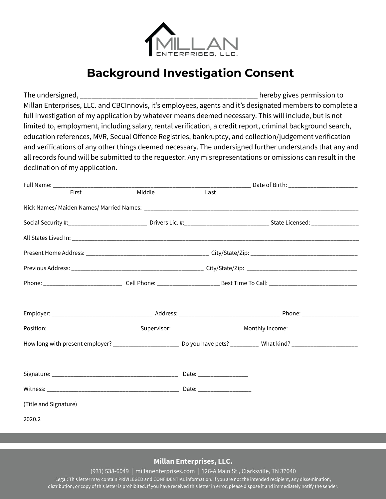

## **Background Investigation Consent**

The undersigned, \_\_\_\_\_\_\_\_\_\_\_\_\_\_\_\_\_\_\_\_\_\_\_\_\_\_\_\_\_\_\_\_\_\_\_\_\_\_\_\_\_\_\_\_\_\_\_ hereby gives permission to Millan Enterprises, LLC. and CBCInnovis, it's employees, agents and it's designated members to complete a full investigation of my application by whatever means deemed necessary. This will include, but is not limited to, employment, including salary, rental verification, a credit report, criminal background search, education references, MVR, Secual Offence Registries, bankruptcy, and collection/judgement verification and verifications of any other things deemed necessary. The undersigned further understands that any and all records found will be submitted to the requestor. Any misrepresentations or omissions can result in the declination of my application.

| Full Name: _______________________________ |        |      |                                                                                                                                        |  |  |  |
|--------------------------------------------|--------|------|----------------------------------------------------------------------------------------------------------------------------------------|--|--|--|
| First                                      | Middle | Last |                                                                                                                                        |  |  |  |
|                                            |        |      |                                                                                                                                        |  |  |  |
|                                            |        |      | Social Security #:______________________________ Drivers Lic. #:___________________________________State Licensed: ___________________ |  |  |  |
|                                            |        |      |                                                                                                                                        |  |  |  |
|                                            |        |      |                                                                                                                                        |  |  |  |
|                                            |        |      |                                                                                                                                        |  |  |  |
|                                            |        |      |                                                                                                                                        |  |  |  |
|                                            |        |      |                                                                                                                                        |  |  |  |
|                                            |        |      |                                                                                                                                        |  |  |  |
|                                            |        |      | How long with present employer? _________________________ Do you have pets? __________ What kind? __________________                   |  |  |  |
|                                            |        |      |                                                                                                                                        |  |  |  |
|                                            |        |      |                                                                                                                                        |  |  |  |
| (Title and Signature)                      |        |      |                                                                                                                                        |  |  |  |
| 2020.2                                     |        |      |                                                                                                                                        |  |  |  |
|                                            |        |      |                                                                                                                                        |  |  |  |

**Millan Enterprises, LLC.**